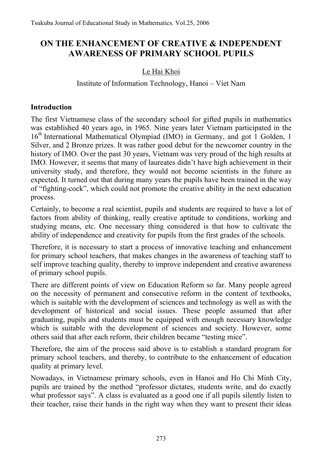# **ON THE ENHANCEMENT OF CREATIVE & INDEPENDENT AWARENESS OF PRIMARY SCHOOL PUPILS**

## Le Hai Khoi

#### Institute of Information Technology, Hanoi – Viet Nam

#### **Introduction**

The first Vietnamese class of the secondary school for gifted pupils in mathematics was established 40 years ago, in 1965. Nine years later Vietnam participated in the 16<sup>th</sup> International Mathematical Olympiad (IMO) in Germany, and got 1 Golden, 1 Silver, and 2 Bronze prizes. It was rather good debut for the newcomer country in the history of IMO. Over the past 30 years, Vietnam was very proud of the high results at IMO. However, it seems that many of laureates didn't have high achievement in their university study, and therefore, they would not become scientists in the future as expected. It turned out that during many years the pupils have been trained in the way of "fighting-cock", which could not promote the creative ability in the next education process.

Certainly, to become a real scientist, pupils and students are required to have a lot of factors from ability of thinking, really creative aptitude to conditions, working and studying means, etc. One necessary thing considered is that how to cultivate the ability of independence and creativity for pupils from the first grades of the schools.

Therefore, it is necessary to start a process of innovative teaching and enhancement for primary school teachers, that makes changes in the awareness of teaching staff to self improve teaching quality, thereby to improve independent and creative awareness of primary school pupils.

There are different points of view on Education Reform so far. Many people agreed on the necessity of permanent and consecutive reform in the content of textbooks, which is suitable with the development of sciences and technology as well as with the development of historical and social issues. These people assumed that after graduating, pupils and students must be equipped with enough necessary knowledge which is suitable with the development of sciences and society. However, some others said that after each reform, their children became "testing mice".

Therefore, the aim of the process said above is to establish a standard program for primary school teachers, and thereby, to contribute to the enhancement of education quality at primary level.

Nowadays, in Vietnamese primary schools, even in Hanoi and Ho Chi Minh City, pupils are trained by the method "professor dictates, students write, and do exactly what professor says". A class is evaluated as a good one if all pupils silently listen to their teacher, raise their hands in the right way when they want to present their ideas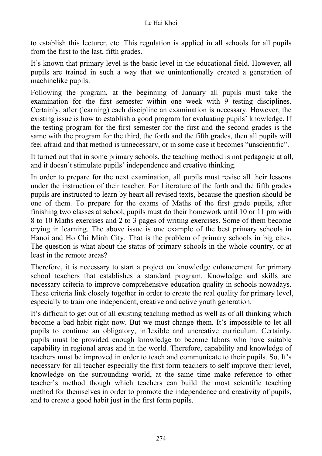to establish this lecturer, etc. This regulation is applied in all schools for all pupils from the first to the last, fifth grades.

It's known that primary level is the basic level in the educational field. However, all pupils are trained in such a way that we unintentionally created a generation of machinelike pupils.

Following the program, at the beginning of January all pupils must take the examination for the first semester within one week with 9 testing disciplines. Certainly, after (learning) each discipline an examination is necessary. However, the existing issue is how to establish a good program for evaluating pupils' knowledge. If the testing program for the first semester for the first and the second grades is the same with the program for the third, the forth and the fifth grades, then all pupils will feel afraid and that method is unnecessary, or in some case it becomes "unscientific".

It turned out that in some primary schools, the teaching method is not pedagogic at all, and it doesn't stimulate pupils' independence and creative thinking.

In order to prepare for the next examination, all pupils must revise all their lessons under the instruction of their teacher. For Literature of the forth and the fifth grades pupils are instructed to learn by heart all revised texts, because the question should be one of them. To prepare for the exams of Maths of the first grade pupils, after finishing two classes at school, pupils must do their homework until 10 or 11 pm with 8 to 10 Maths exercises and 2 to 3 pages of writing exercises. Some of them become crying in learning. The above issue is one example of the best primary schools in Hanoi and Ho Chi Minh City. That is the problem of primary schools in big cites. The question is what about the status of primary schools in the whole country, or at least in the remote areas?

Therefore, it is necessary to start a project on knowledge enhancement for primary school teachers that establishes a standard program. Knowledge and skills are necessary criteria to improve comprehensive education quality in schools nowadays. These criteria link closely together in order to create the real quality for primary level, especially to train one independent, creative and active youth generation.

It's difficult to get out of all existing teaching method as well as of all thinking which become a bad habit right now. But we must change them. It's impossible to let all pupils to continue an obligatory, inflexible and uncreative curriculum. Certainly, pupils must be provided enough knowledge to become labors who have suitable capability in regional areas and in the world. Therefore, capability and knowledge of teachers must be improved in order to teach and communicate to their pupils. So, It's necessary for all teacher especially the first form teachers to self improve their level, knowledge on the surrounding world, at the same time make reference to other teacher's method though which teachers can build the most scientific teaching method for themselves in order to promote the independence and creativity of pupils, and to create a good habit just in the first form pupils.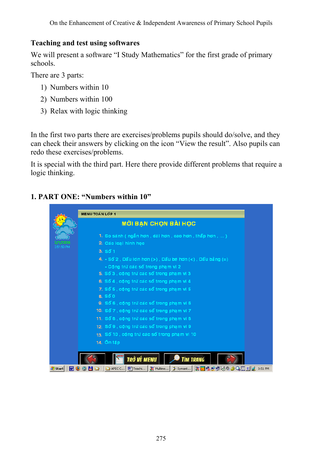#### **Teaching and test using softwares**

We will present a software "I Study Mathematics" for the first grade of primary schools.

There are 3 parts:

- 1) Numbers within 10
- 2) Numbers within 100
- 3) Relax with logic thinking

In the first two parts there are exercises/problems pupils should do/solve, and they can check their answers by clicking on the icon "View the result". Also pupils can redo these exercises/problems.

It is special with the third part. Here there provide different problems that require a logic thinking.

### **1. PART ONE: "Numbers within 10"**

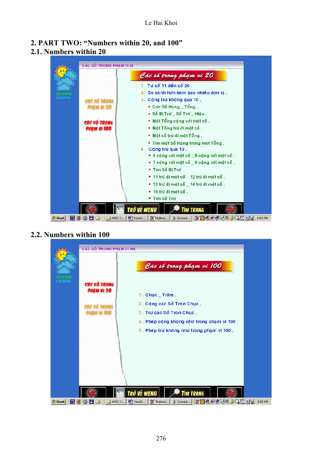#### **2. PART TWO: "Numbers within 20, and 100" 2.1. Numbers within 20**



#### **2.2. Numbers within 100**

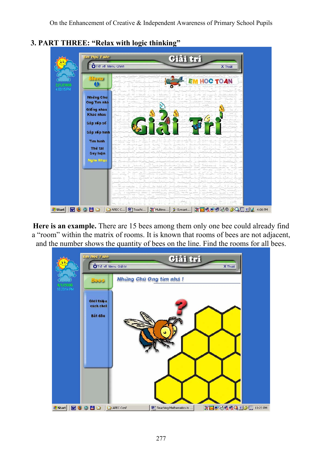

**3. PART THREE: "Relax with logic thinking"** 

**Here is an example.** There are 15 bees among them only one bee could already find a "room" within the matrix of rooms. It is known that rooms of bees are not adjacent, and the number shows the quantity of bees on the line. Find the rooms for all bees.